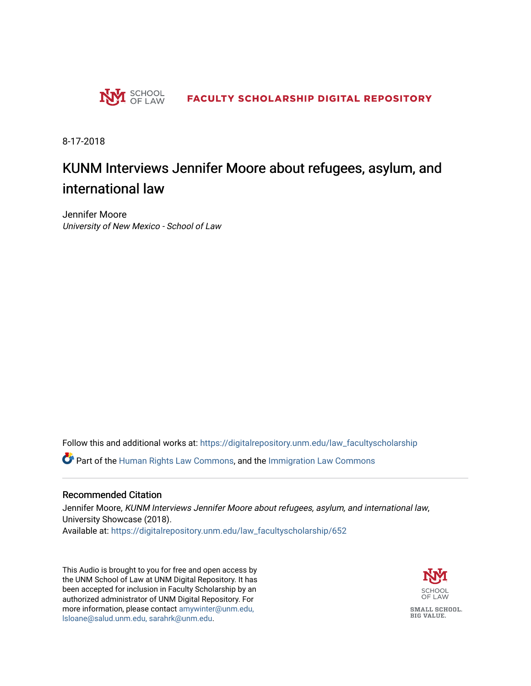

8-17-2018

## KUNM Interviews Jennifer Moore about refugees, asylum, and international law

Jennifer Moore University of New Mexico - School of Law

Follow this and additional works at: [https://digitalrepository.unm.edu/law\\_facultyscholarship](https://digitalrepository.unm.edu/law_facultyscholarship?utm_source=digitalrepository.unm.edu%2Flaw_facultyscholarship%2F652&utm_medium=PDF&utm_campaign=PDFCoverPages) 

Part of the [Human Rights Law Commons,](http://network.bepress.com/hgg/discipline/847?utm_source=digitalrepository.unm.edu%2Flaw_facultyscholarship%2F652&utm_medium=PDF&utm_campaign=PDFCoverPages) and the [Immigration Law Commons](http://network.bepress.com/hgg/discipline/604?utm_source=digitalrepository.unm.edu%2Flaw_facultyscholarship%2F652&utm_medium=PDF&utm_campaign=PDFCoverPages) 

#### Recommended Citation

Jennifer Moore, KUNM Interviews Jennifer Moore about refugees, asylum, and international law, University Showcase (2018). Available at: [https://digitalrepository.unm.edu/law\\_facultyscholarship/652](https://digitalrepository.unm.edu/law_facultyscholarship/652?utm_source=digitalrepository.unm.edu%2Flaw_facultyscholarship%2F652&utm_medium=PDF&utm_campaign=PDFCoverPages) 

This Audio is brought to you for free and open access by the UNM School of Law at UNM Digital Repository. It has been accepted for inclusion in Faculty Scholarship by an authorized administrator of UNM Digital Repository. For more information, please contact [amywinter@unm.edu,](mailto:amywinter@unm.edu,%20lsloane@salud.unm.edu,%20sarahrk@unm.edu)  [lsloane@salud.unm.edu, sarahrk@unm.edu.](mailto:amywinter@unm.edu,%20lsloane@salud.unm.edu,%20sarahrk@unm.edu)